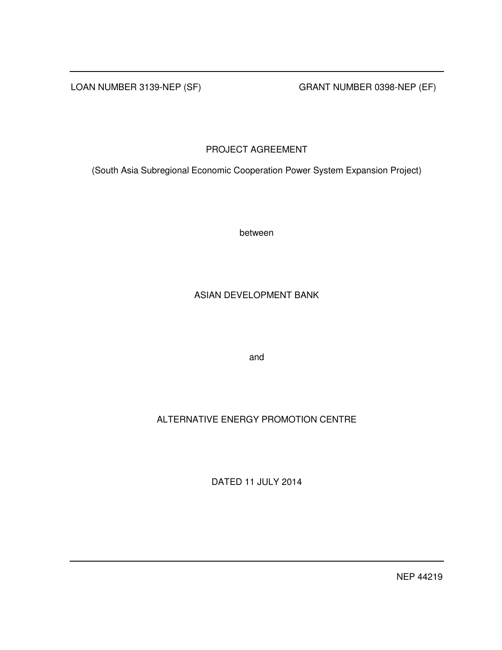LOAN NUMBER 3139-NEP (SF) GRANT NUMBER 0398-NEP (EF)

PROJECT AGREEMENT

(South Asia Subregional Economic Cooperation Power System Expansion Project)

between

## ASIAN DEVELOPMENT BANK

and

# ALTERNATIVE ENERGY PROMOTION CENTRE

DATED 11 JULY 2014

NEP 44219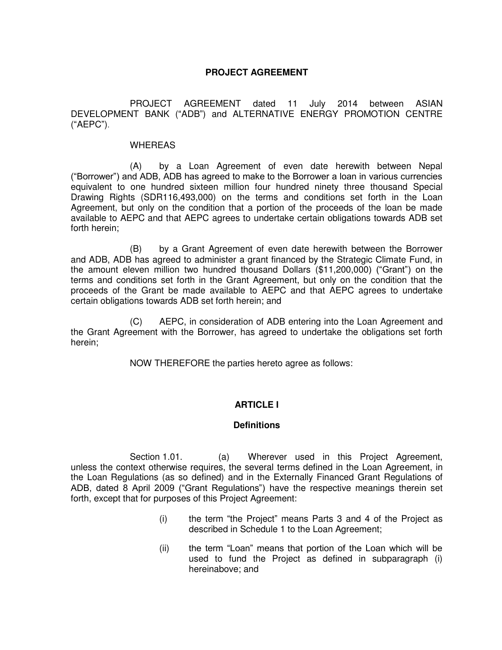## **PROJECT AGREEMENT**

 PROJECT AGREEMENT dated 11 July 2014 between ASIAN DEVELOPMENT BANK ("ADB") and ALTERNATIVE ENERGY PROMOTION CENTRE ("AEPC").

### WHEREAS

(A) by a Loan Agreement of even date herewith between Nepal ("Borrower") and ADB, ADB has agreed to make to the Borrower a loan in various currencies equivalent to one hundred sixteen million four hundred ninety three thousand Special Drawing Rights (SDR116,493,000) on the terms and conditions set forth in the Loan Agreement, but only on the condition that a portion of the proceeds of the loan be made available to AEPC and that AEPC agrees to undertake certain obligations towards ADB set forth herein;

 (B) by a Grant Agreement of even date herewith between the Borrower and ADB, ADB has agreed to administer a grant financed by the Strategic Climate Fund, in the amount eleven million two hundred thousand Dollars (\$11,200,000) ("Grant") on the terms and conditions set forth in the Grant Agreement, but only on the condition that the proceeds of the Grant be made available to AEPC and that AEPC agrees to undertake certain obligations towards ADB set forth herein; and

(C) AEPC, in consideration of ADB entering into the Loan Agreement and the Grant Agreement with the Borrower, has agreed to undertake the obligations set forth herein;

NOW THEREFORE the parties hereto agree as follows:

## **ARTICLE I**

## **Definitions**

Section 1.01. (a) Wherever used in this Project Agreement, unless the context otherwise requires, the several terms defined in the Loan Agreement, in the Loan Regulations (as so defined) and in the Externally Financed Grant Regulations of ADB, dated 8 April 2009 ("Grant Regulations") have the respective meanings therein set forth, except that for purposes of this Project Agreement:

- (i) the term "the Project" means Parts 3 and 4 of the Project as described in Schedule 1 to the Loan Agreement;
- (ii) the term "Loan" means that portion of the Loan which will be used to fund the Project as defined in subparagraph (i) hereinabove; and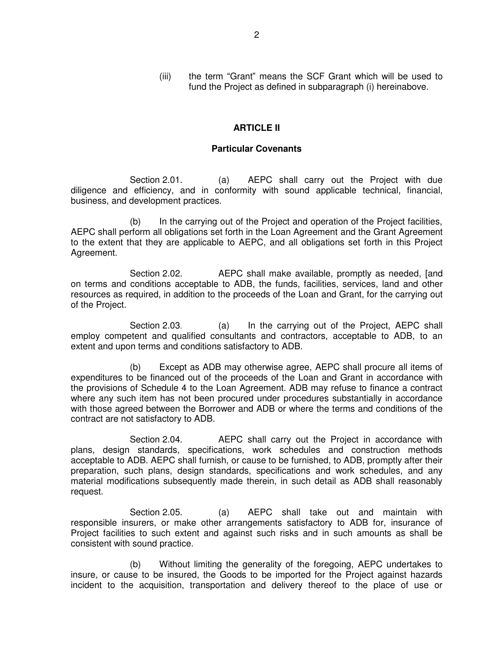(iii) the term "Grant" means the SCF Grant which will be used to fund the Project as defined in subparagraph (i) hereinabove.

## **ARTICLE II**

## **Particular Covenants**

Section 2.01. (a) AEPC shall carry out the Project with due diligence and efficiency, and in conformity with sound applicable technical, financial, business, and development practices.

 (b) In the carrying out of the Project and operation of the Project facilities, AEPC shall perform all obligations set forth in the Loan Agreement and the Grant Agreement to the extent that they are applicable to AEPC, and all obligations set forth in this Project Agreement.

Section 2.02. AEPC shall make available, promptly as needed, [and on terms and conditions acceptable to ADB, the funds, facilities, services, land and other resources as required, in addition to the proceeds of the Loan and Grant, for the carrying out of the Project.

Section 2.03. (a) In the carrying out of the Project, AEPC shall employ competent and qualified consultants and contractors, acceptable to ADB, to an extent and upon terms and conditions satisfactory to ADB.

 (b) Except as ADB may otherwise agree, AEPC shall procure all items of expenditures to be financed out of the proceeds of the Loan and Grant in accordance with the provisions of Schedule 4 to the Loan Agreement. ADB may refuse to finance a contract where any such item has not been procured under procedures substantially in accordance with those agreed between the Borrower and ADB or where the terms and conditions of the contract are not satisfactory to ADB.

 Section 2.04. AEPC shall carry out the Project in accordance with plans, design standards, specifications, work schedules and construction methods acceptable to ADB. AEPC shall furnish, or cause to be furnished, to ADB, promptly after their preparation, such plans, design standards, specifications and work schedules, and any material modifications subsequently made therein, in such detail as ADB shall reasonably request.

Section 2.05. (a) AEPC shall take out and maintain with responsible insurers, or make other arrangements satisfactory to ADB for, insurance of Project facilities to such extent and against such risks and in such amounts as shall be consistent with sound practice.

 (b) Without limiting the generality of the foregoing, AEPC undertakes to insure, or cause to be insured, the Goods to be imported for the Project against hazards incident to the acquisition, transportation and delivery thereof to the place of use or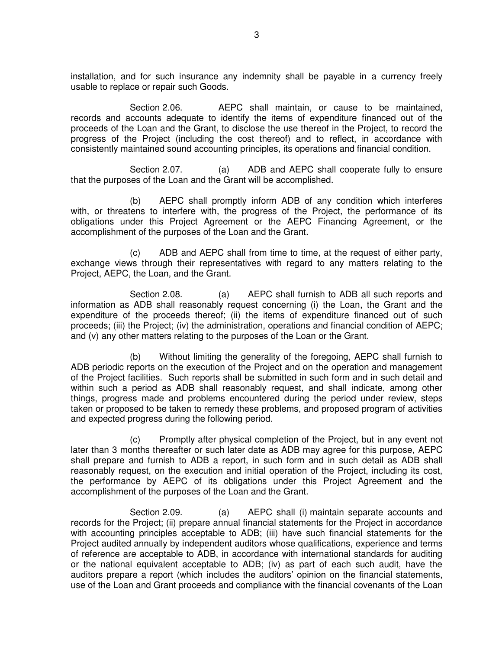installation, and for such insurance any indemnity shall be payable in a currency freely usable to replace or repair such Goods.

 Section 2.06. AEPC shall maintain, or cause to be maintained, records and accounts adequate to identify the items of expenditure financed out of the proceeds of the Loan and the Grant, to disclose the use thereof in the Project, to record the progress of the Project (including the cost thereof) and to reflect, in accordance with consistently maintained sound accounting principles, its operations and financial condition.

Section 2.07. (a) ADB and AEPC shall cooperate fully to ensure that the purposes of the Loan and the Grant will be accomplished.

 (b) AEPC shall promptly inform ADB of any condition which interferes with, or threatens to interfere with, the progress of the Project, the performance of its obligations under this Project Agreement or the AEPC Financing Agreement, or the accomplishment of the purposes of the Loan and the Grant.

 (c) ADB and AEPC shall from time to time, at the request of either party, exchange views through their representatives with regard to any matters relating to the Project, AEPC, the Loan, and the Grant.

Section 2.08. (a) AEPC shall furnish to ADB all such reports and information as ADB shall reasonably request concerning (i) the Loan, the Grant and the expenditure of the proceeds thereof; (ii) the items of expenditure financed out of such proceeds; (iii) the Project; (iv) the administration, operations and financial condition of AEPC; and (v) any other matters relating to the purposes of the Loan or the Grant.

 (b) Without limiting the generality of the foregoing, AEPC shall furnish to ADB periodic reports on the execution of the Project and on the operation and management of the Project facilities. Such reports shall be submitted in such form and in such detail and within such a period as ADB shall reasonably request, and shall indicate, among other things, progress made and problems encountered during the period under review, steps taken or proposed to be taken to remedy these problems, and proposed program of activities and expected progress during the following period.

 (c) Promptly after physical completion of the Project, but in any event not later than 3 months thereafter or such later date as ADB may agree for this purpose, AEPC shall prepare and furnish to ADB a report, in such form and in such detail as ADB shall reasonably request, on the execution and initial operation of the Project, including its cost, the performance by AEPC of its obligations under this Project Agreement and the accomplishment of the purposes of the Loan and the Grant.

Section 2.09. (a) AEPC shall (i) maintain separate accounts and records for the Project; (ii) prepare annual financial statements for the Project in accordance with accounting principles acceptable to ADB; (iii) have such financial statements for the Project audited annually by independent auditors whose qualifications, experience and terms of reference are acceptable to ADB, in accordance with international standards for auditing or the national equivalent acceptable to ADB; (iv) as part of each such audit, have the auditors prepare a report (which includes the auditors' opinion on the financial statements, use of the Loan and Grant proceeds and compliance with the financial covenants of the Loan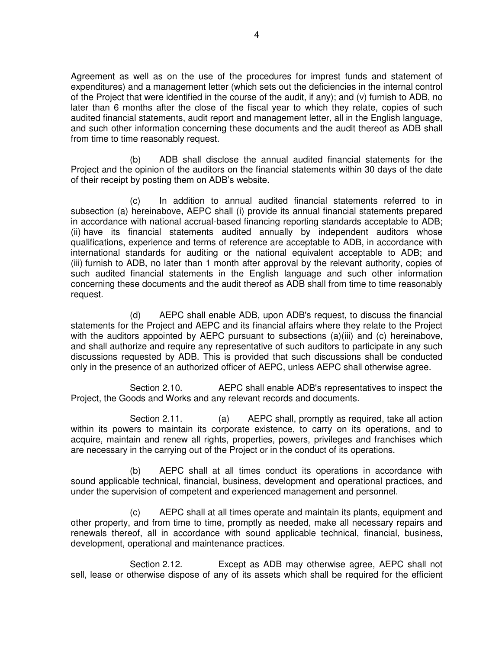Agreement as well as on the use of the procedures for imprest funds and statement of expenditures) and a management letter (which sets out the deficiencies in the internal control of the Project that were identified in the course of the audit, if any); and (v) furnish to ADB, no later than 6 months after the close of the fiscal year to which they relate, copies of such audited financial statements, audit report and management letter, all in the English language, and such other information concerning these documents and the audit thereof as ADB shall from time to time reasonably request.

 (b) ADB shall disclose the annual audited financial statements for the Project and the opinion of the auditors on the financial statements within 30 days of the date of their receipt by posting them on ADB's website.

(c) In addition to annual audited financial statements referred to in subsection (a) hereinabove, AEPC shall (i) provide its annual financial statements prepared in accordance with national accrual-based financing reporting standards acceptable to ADB; (ii) have its financial statements audited annually by independent auditors whose qualifications, experience and terms of reference are acceptable to ADB, in accordance with international standards for auditing or the national equivalent acceptable to ADB; and (iii) furnish to ADB, no later than 1 month after approval by the relevant authority, copies of such audited financial statements in the English language and such other information concerning these documents and the audit thereof as ADB shall from time to time reasonably request.

 (d) AEPC shall enable ADB, upon ADB's request, to discuss the financial statements for the Project and AEPC and its financial affairs where they relate to the Project with the auditors appointed by AEPC pursuant to subsections (a)(iii) and (c) hereinabove, and shall authorize and require any representative of such auditors to participate in any such discussions requested by ADB. This is provided that such discussions shall be conducted only in the presence of an authorized officer of AEPC, unless AEPC shall otherwise agree.

 Section 2.10. AEPC shall enable ADB's representatives to inspect the Project, the Goods and Works and any relevant records and documents.

Section 2.11. (a) AEPC shall, promptly as required, take all action within its powers to maintain its corporate existence, to carry on its operations, and to acquire, maintain and renew all rights, properties, powers, privileges and franchises which are necessary in the carrying out of the Project or in the conduct of its operations.

 (b) AEPC shall at all times conduct its operations in accordance with sound applicable technical, financial, business, development and operational practices, and under the supervision of competent and experienced management and personnel.

(c) AEPC shall at all times operate and maintain its plants, equipment and other property, and from time to time, promptly as needed, make all necessary repairs and renewals thereof, all in accordance with sound applicable technical, financial, business, development, operational and maintenance practices.

 Section 2.12. Except as ADB may otherwise agree, AEPC shall not sell, lease or otherwise dispose of any of its assets which shall be required for the efficient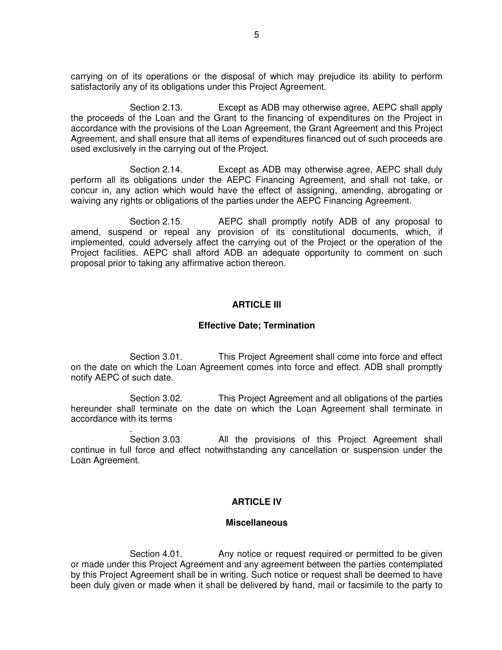carrying on of its operations or the disposal of which may prejudice its ability to perform satisfactorily any of its obligations under this Project Agreement.

 Section 2.13. Except as ADB may otherwise agree, AEPC shall apply the proceeds of the Loan and the Grant to the financing of expenditures on the Project in accordance with the provisions of the Loan Agreement, the Grant Agreement and this Project Agreement, and shall ensure that all items of expenditures financed out of such proceeds are used exclusively in the carrying out of the Project.

 Section 2.14. Except as ADB may otherwise agree, AEPC shall duly perform all its obligations under the AEPC Financing Agreement, and shall not take, or concur in, any action which would have the effect of assigning, amending, abrogating or waiving any rights or obligations of the parties under the AEPC Financing Agreement.

 Section 2.15. AEPC shall promptly notify ADB of any proposal to amend, suspend or repeal any provision of its constitutional documents, which, if implemented, could adversely affect the carrying out of the Project or the operation of the Project facilities. AEPC shall afford ADB an adequate opportunity to comment on such proposal prior to taking any affirmative action thereon.

### **ARTICLE III**

#### **Effective Date; Termination**

Section 3.01. This Project Agreement shall come into force and effect on the date on which the Loan Agreement comes into force and effect. ADB shall promptly notify AEPC of such date.

Section 3.02. This Project Agreement and all obligations of the parties hereunder shall terminate on the date on which the Loan Agreement shall terminate in accordance with its terms

. Section 3.03. All the provisions of this Project Agreement shall continue in full force and effect notwithstanding any cancellation or suspension under the Loan Agreement.

### **ARTICLE IV**

#### **Miscellaneous**

Section 4.01. Any notice or request required or permitted to be given or made under this Project Agreement and any agreement between the parties contemplated by this Project Agreement shall be in writing. Such notice or request shall be deemed to have been duly given or made when it shall be delivered by hand, mail or facsimile to the party to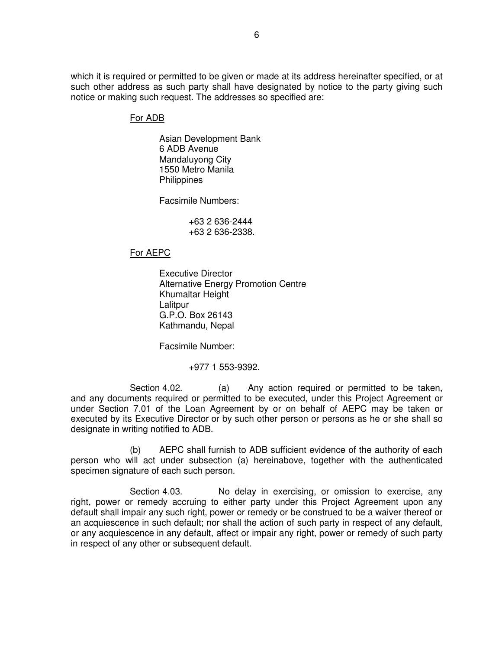which it is required or permitted to be given or made at its address hereinafter specified, or at such other address as such party shall have designated by notice to the party giving such notice or making such request. The addresses so specified are:

## For ADB

Asian Development Bank 6 ADB Avenue Mandaluyong City 1550 Metro Manila **Philippines** 

Facsimile Numbers:

 +63 2 636-2444 +63 2 636-2338.

## For AEPC

 Executive Director Alternative Energy Promotion Centre Khumaltar Height **Lalitpur** G.P.O. Box 26143 Kathmandu, Nepal

Facsimile Number:

+977 1 553-9392.

Section 4.02. (a) Any action required or permitted to be taken, and any documents required or permitted to be executed, under this Project Agreement or under Section 7.01 of the Loan Agreement by or on behalf of AEPC may be taken or executed by its Executive Director or by such other person or persons as he or she shall so designate in writing notified to ADB.

 (b) AEPC shall furnish to ADB sufficient evidence of the authority of each person who will act under subsection (a) hereinabove, together with the authenticated specimen signature of each such person.

Section 4.03. No delay in exercising, or omission to exercise, any right, power or remedy accruing to either party under this Project Agreement upon any default shall impair any such right, power or remedy or be construed to be a waiver thereof or an acquiescence in such default; nor shall the action of such party in respect of any default, or any acquiescence in any default, affect or impair any right, power or remedy of such party in respect of any other or subsequent default.